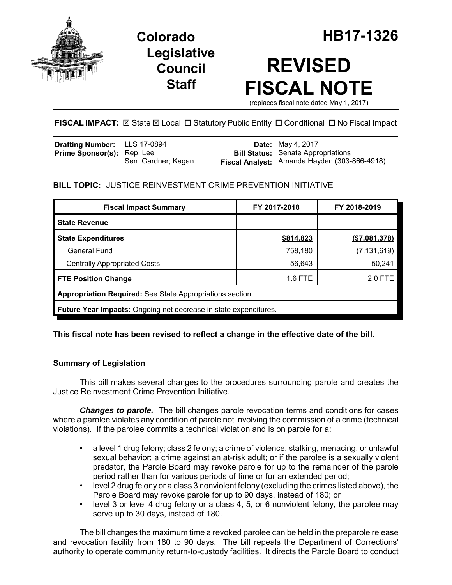

**Legislative Council Staff**

# **REVISED FISCAL NOTE**

(replaces fiscal note dated May 1, 2017)

FISCAL IMPACT:  $\boxtimes$  State  $\boxtimes$  Local  $\Box$  Statutory Public Entity  $\Box$  Conditional  $\Box$  No Fiscal Impact

| <b>Drafting Number:</b> LLS 17-0894 |                     | <b>Date:</b> May 4, 2017                     |
|-------------------------------------|---------------------|----------------------------------------------|
| <b>Prime Sponsor(s):</b> Rep. Lee   |                     | <b>Bill Status:</b> Senate Appropriations    |
|                                     | Sen. Gardner; Kagan | Fiscal Analyst: Amanda Hayden (303-866-4918) |

# **BILL TOPIC:** JUSTICE REINVESTMENT CRIME PREVENTION INITIATIVE

| <b>Fiscal Impact Summary</b>                                            | FY 2017-2018 | FY 2018-2019  |  |  |  |
|-------------------------------------------------------------------------|--------------|---------------|--|--|--|
| <b>State Revenue</b>                                                    |              |               |  |  |  |
| <b>State Expenditures</b>                                               | \$814,823    | (\$7,081,378) |  |  |  |
| <b>General Fund</b>                                                     | 758,180      | (7, 131, 619) |  |  |  |
| <b>Centrally Appropriated Costs</b>                                     | 56,643       | 50,241        |  |  |  |
| <b>FTE Position Change</b>                                              | $1.6$ FTE    | 2.0 FTE       |  |  |  |
| Appropriation Required: See State Appropriations section.               |              |               |  |  |  |
| <b>Future Year Impacts:</b> Ongoing net decrease in state expenditures. |              |               |  |  |  |

# **This fiscal note has been revised to reflect a change in the effective date of the bill.**

# **Summary of Legislation**

This bill makes several changes to the procedures surrounding parole and creates the Justice Reinvestment Crime Prevention Initiative.

**Changes to parole.** The bill changes parole revocation terms and conditions for cases where a parolee violates any condition of parole not involving the commission of a crime (technical violations). If the parolee commits a technical violation and is on parole for a:

- a level 1 drug felony; class 2 felony; a crime of violence, stalking, menacing, or unlawful sexual behavior; a crime against an at-risk adult; or if the parolee is a sexually violent predator, the Parole Board may revoke parole for up to the remainder of the parole period rather than for various periods of time or for an extended period;
- level 2 drug felony or a class 3 nonviolent felony (excluding the crimes listed above), the Parole Board may revoke parole for up to 90 days, instead of 180; or
- level 3 or level 4 drug felony or a class 4, 5, or 6 nonviolent felony, the parolee may serve up to 30 days, instead of 180.

The bill changes the maximum time a revoked parolee can be held in the preparole release and revocation facility from 180 to 90 days. The bill repeals the Department of Corrections' authority to operate community return-to-custody facilities. It directs the Parole Board to conduct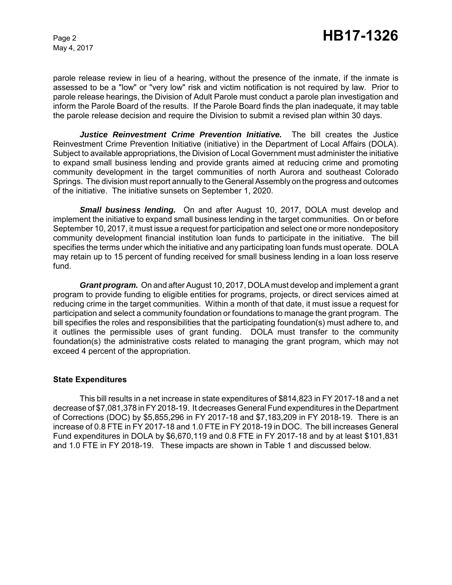May 4, 2017

parole release review in lieu of a hearing, without the presence of the inmate, if the inmate is assessed to be a "low" or "very low" risk and victim notification is not required by law. Prior to parole release hearings, the Division of Adult Parole must conduct a parole plan investigation and inform the Parole Board of the results. If the Parole Board finds the plan inadequate, it may table the parole release decision and require the Division to submit a revised plan within 30 days.

*Justice Reinvestment Crime Prevention Initiative.* The bill creates the Justice Reinvestment Crime Prevention Initiative (initiative) in the Department of Local Affairs (DOLA). Subject to available appropriations, the Division of Local Government must administer the initiative to expand small business lending and provide grants aimed at reducing crime and promoting community development in the target communities of north Aurora and southeast Colorado Springs. The division must report annually to the General Assembly on the progress and outcomes of the initiative. The initiative sunsets on September 1, 2020.

*Small business lending.* On and after August 10, 2017, DOLA must develop and implement the initiative to expand small business lending in the target communities. On or before September 10, 2017, it must issue a request for participation and select one or more nondepository community development financial institution loan funds to participate in the initiative. The bill specifies the terms under which the initiative and any participating loan funds must operate. DOLA may retain up to 15 percent of funding received for small business lending in a loan loss reserve fund.

*Grant program.* On and after August 10, 2017, DOLA must develop and implement a grant program to provide funding to eligible entities for programs, projects, or direct services aimed at reducing crime in the target communities. Within a month of that date, it must issue a request for participation and select a community foundation or foundations to manage the grant program. The bill specifies the roles and responsibilities that the participating foundation(s) must adhere to, and it outlines the permissible uses of grant funding. DOLA must transfer to the community foundation(s) the administrative costs related to managing the grant program, which may not exceed 4 percent of the appropriation.

#### **State Expenditures**

This bill results in a net increase in state expenditures of \$814,823 in FY 2017-18 and a net decrease of \$7,081,378 in FY 2018-19. It decreases General Fund expenditures in the Department of Corrections (DOC) by \$5,855,296 in FY 2017-18 and \$7,183,209 in FY 2018-19. There is an increase of 0.8 FTE in FY 2017-18 and 1.0 FTE in FY 2018-19 in DOC. The bill increases General Fund expenditures in DOLA by \$6,670,119 and 0.8 FTE in FY 2017-18 and by at least \$101,831 and 1.0 FTE in FY 2018-19. These impacts are shown in Table 1 and discussed below.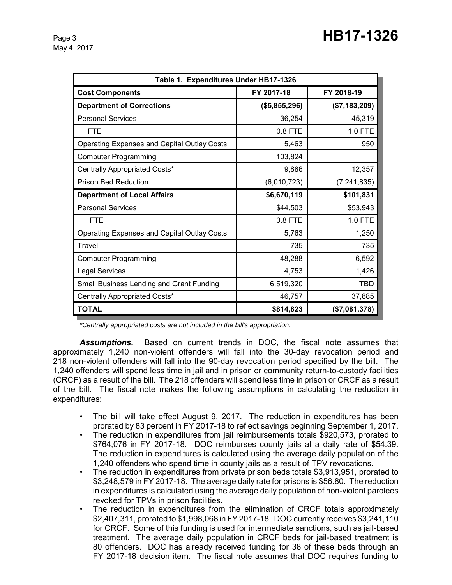May 4, 2017

| Table 1. Expenditures Under HB17-1326              |               |               |  |  |  |  |
|----------------------------------------------------|---------------|---------------|--|--|--|--|
| <b>Cost Components</b>                             | FY 2017-18    | FY 2018-19    |  |  |  |  |
| <b>Department of Corrections</b>                   | (\$5,855,296) | (\$7,183,209) |  |  |  |  |
| <b>Personal Services</b>                           | 36,254        | 45,319        |  |  |  |  |
| <b>FTE</b>                                         | 0.8 FTE       | 1.0 FTE       |  |  |  |  |
| Operating Expenses and Capital Outlay Costs        | 5,463         | 950           |  |  |  |  |
| <b>Computer Programming</b>                        | 103,824       |               |  |  |  |  |
| Centrally Appropriated Costs*                      | 9,886         | 12,357        |  |  |  |  |
| <b>Prison Bed Reduction</b>                        | (6,010,723)   | (7, 241, 835) |  |  |  |  |
| <b>Department of Local Affairs</b>                 | \$6,670,119   | \$101,831     |  |  |  |  |
| <b>Personal Services</b>                           | \$44,503      | \$53,943      |  |  |  |  |
| <b>FTE</b>                                         | 0.8 FTE       | 1.0 FTE       |  |  |  |  |
| <b>Operating Expenses and Capital Outlay Costs</b> | 5,763         | 1,250         |  |  |  |  |
| Travel                                             | 735           | 735           |  |  |  |  |
| <b>Computer Programming</b>                        | 48,288        | 6,592         |  |  |  |  |
| <b>Legal Services</b>                              | 4,753         | 1,426         |  |  |  |  |
| Small Business Lending and Grant Funding           | 6,519,320     | TBD           |  |  |  |  |
| Centrally Appropriated Costs*                      | 46,757        | 37,885        |  |  |  |  |
| <b>TOTAL</b>                                       | \$814,823     | (\$7,081,378) |  |  |  |  |

*\*Centrally appropriated costs are not included in the bill's appropriation.*

*Assumptions.* Based on current trends in DOC, the fiscal note assumes that approximately 1,240 non-violent offenders will fall into the 30-day revocation period and 218 non-violent offenders will fall into the 90-day revocation period specified by the bill. The 1,240 offenders will spend less time in jail and in prison or community return-to-custody facilities (CRCF) as a result of the bill. The 218 offenders will spend less time in prison or CRCF as a result of the bill. The fiscal note makes the following assumptions in calculating the reduction in expenditures:

- The bill will take effect August 9, 2017. The reduction in expenditures has been prorated by 83 percent in FY 2017-18 to reflect savings beginning September 1, 2017.
- The reduction in expenditures from jail reimbursements totals \$920,573, prorated to \$764,076 in FY 2017-18. DOC reimburses county jails at a daily rate of \$54.39. The reduction in expenditures is calculated using the average daily population of the 1,240 offenders who spend time in county jails as a result of TPV revocations.
- The reduction in expenditures from private prison beds totals \$3,913,951, prorated to \$3,248,579 in FY 2017-18. The average daily rate for prisons is \$56.80. The reduction in expenditures is calculated using the average daily population of non-violent parolees revoked for TPVs in prison facilities.
- The reduction in expenditures from the elimination of CRCF totals approximately \$2,407,311, prorated to \$1,998,068 in FY 2017-18. DOC currently receives \$3,241,110 for CRCF. Some of this funding is used for intermediate sanctions, such as jail-based treatment. The average daily population in CRCF beds for jail-based treatment is 80 offenders. DOC has already received funding for 38 of these beds through an FY 2017-18 decision item. The fiscal note assumes that DOC requires funding to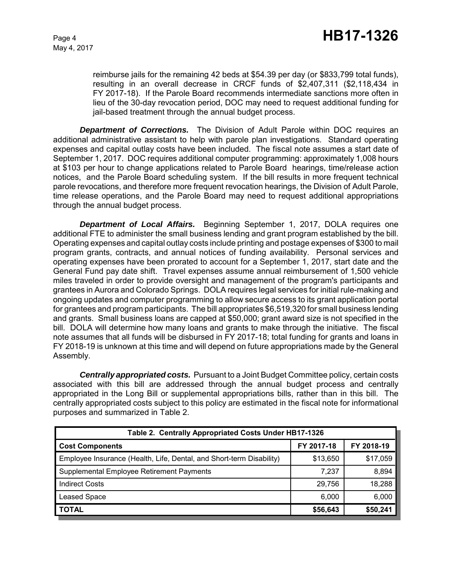reimburse jails for the remaining 42 beds at \$54.39 per day (or \$833,799 total funds), resulting in an overall decrease in CRCF funds of \$2,407,311 (\$2,118,434 in FY 2017-18). If the Parole Board recommends intermediate sanctions more often in lieu of the 30-day revocation period, DOC may need to request additional funding for jail-based treatment through the annual budget process.

*Department of Corrections.* The Division of Adult Parole within DOC requires an additional administrative assistant to help with parole plan investigations. Standard operating expenses and capital outlay costs have been included. The fiscal note assumes a start date of September 1, 2017. DOC requires additional computer programming: approximately 1,008 hours at \$103 per hour to change applications related to Parole Board hearings, time/release action notices, and the Parole Board scheduling system. If the bill results in more frequent technical parole revocations, and therefore more frequent revocation hearings, the Division of Adult Parole, time release operations, and the Parole Board may need to request additional appropriations through the annual budget process.

*Department of Local Affairs.* Beginning September 1, 2017, DOLA requires one additional FTE to administer the small business lending and grant program established by the bill. Operating expenses and capital outlay costs include printing and postage expenses of \$300 to mail program grants, contracts, and annual notices of funding availability. Personal services and operating expenses have been prorated to account for a September 1, 2017, start date and the General Fund pay date shift. Travel expenses assume annual reimbursement of 1,500 vehicle miles traveled in order to provide oversight and management of the program's participants and grantees in Aurora and Colorado Springs. DOLA requires legal services for initial rule-making and ongoing updates and computer programming to allow secure access to its grant application portal for grantees and program participants. The bill appropriates \$6,519,320 for small business lending and grants. Small business loans are capped at \$50,000; grant award size is not specified in the bill. DOLA will determine how many loans and grants to make through the initiative. The fiscal note assumes that all funds will be disbursed in FY 2017-18; total funding for grants and loans in FY 2018-19 is unknown at this time and will depend on future appropriations made by the General Assembly.

*Centrally appropriated costs.* Pursuant to a Joint Budget Committee policy, certain costs associated with this bill are addressed through the annual budget process and centrally appropriated in the Long Bill or supplemental appropriations bills, rather than in this bill. The centrally appropriated costs subject to this policy are estimated in the fiscal note for informational purposes and summarized in Table 2.

| Table 2. Centrally Appropriated Costs Under HB17-1326                |            |            |  |  |  |  |
|----------------------------------------------------------------------|------------|------------|--|--|--|--|
| <b>Cost Components</b>                                               | FY 2017-18 | FY 2018-19 |  |  |  |  |
| Employee Insurance (Health, Life, Dental, and Short-term Disability) | \$13,650   | \$17,059   |  |  |  |  |
| Supplemental Employee Retirement Payments                            | 7,237      | 8,894      |  |  |  |  |
| <b>Indirect Costs</b>                                                | 29.756     | 18,288     |  |  |  |  |
| <b>Leased Space</b>                                                  | 6,000      | 6,000      |  |  |  |  |
| <b>TOTAL</b>                                                         | \$56,643   | \$50,241   |  |  |  |  |